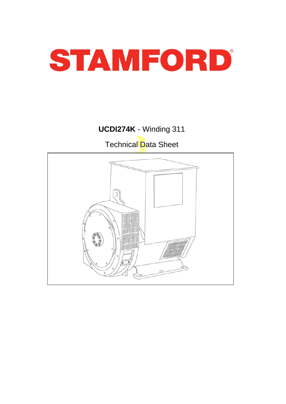

# **UCDI274K** - Winding 311 Technical Data Sheet

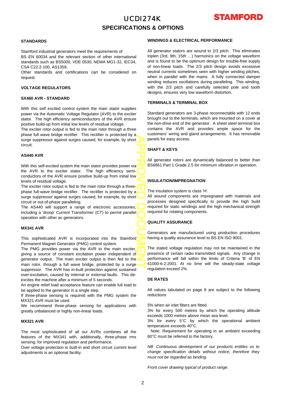# UCDI274K **SPECIFICATIONS & OPTIONS**



#### **STANDARDS**

Stamford industrial generators meet the requirements of BS EN 60034 and the relevant section of other international standards such as BS5000, VDE 0530, NEMA MG1-32, IEC34, CSA C22.2-100, AS1359.

Other standards and certifications can be considered on request.

#### **VOLTAGE REGULATORS**

#### **SX460 AVR - STANDARD**

With this self excited control system the main stator supplies power via the Automatic Voltage Regulator (AVR) to the excite r stator. The high efficiency semiconductors of the AVR ensure positive build-up from initial low levels of residual voltage.

The exciter rotor output is fed to the main rotor through a three phase full wave bridge rectifier. This rectifier is protected by a surge suppressor against surges caused, for example, by short circuit.

#### **AS440 AVR**

APPROVED DOCUMENT With this self-excited system the main stator provides power via the AVR to the exciter stator. The high efficiency semiconductors of the AVR ensure positive build-up from initial low levels of residual voltage.

The exciter rotor output is fed to the main rotor through a threephase full-wave bridge rectifier. The rectifier is protected by a surge suppressor against surges caused, for example, by short circuit or out-of-phase paralleling.

The AS440 will support a range of electronic accessories, including a 'droop' Current Transformer (CT) to permit parallel operation with other ac generators.

#### **MX341 AVR**

This sophisticated AVR is incorporated into the Stamford Permanent Magnet Generator (PMG) control system.

The PMG provides power via the AVR to the main exciter, giving a source of constant excitation power independent o f generator output. The main exciter output is then fed to the main rotor, through a full wave bridge, protected by a surge suppressor. The AVR has in-built protection against sustained over-excitation, caused by internal or external faults. This deexcites the machine after a minimum of 5 seconds.

An engine relief load acceptance feature can enable full load to be applied to the generator in a single step.

If three-phase sensing is required with the PMG system the MX321 AVR must be used.

We recommend three-phase sensing for applications with greatly unbalanced or highly non-linear loads.

#### **MX321 AVR**

The most sophisticated of all our AVRs combines all the features of the MX341 with, additionally, three-phase rms sensing, for improved regulation and performance.

Over voltage protection is built-in and short circuit current level adjustments is an optional facility.

#### **WINDINGS & ELECTRICAL PERFORMANCE**

All generator stators are wound to 2/3 pitch. This eliminates triplen (3rd, 9th, 15th …) harmonics on the voltage waveform and is found to be the optimum design for trouble-free supply of non-linear loads. The 2/3 pitch design avoids excessive neutral currents sometimes seen with higher winding pitches, when in parallel with the mains. A fully connected damper winding reduces oscillations during paralleling. This winding, with the 2/3 pitch and carefully selected pole and tooth designs, ensures very low waveform distortion.

#### **TERMINALS & TERMINAL BOX**

Standard generators are 3-phase reconnectable with 12 ends brought out to the terminals, which are mounted on a cover at the non-drive end of the generator. A sheet steel terminal box contains the AVR and provides ample space for the customers' wiring and gland arrangements. It has removable panels for easy access.

#### **SHAFT & KEYS**

All generator rotors are dynamically balanced to better than BS6861:Part 1 Grade 2.5 for minimum vibration in operation.

#### **INSULATION/IMPREGNATION**

The insulation system is class 'H'.

All wound components are impregnated with materials and processes designed specifically to provide the high build required for static windings and the high mechanical strength required for rotating components.

#### **QUALITY ASSURANCE**

Generators are manufactured using production procedures having a quality assurance level to BS EN ISO 9001.

The stated voltage regulation may not be maintained in the presence of certain radio transmitted signals. Any change in performance will fall within the limits of Criteria 'B' of EN 61000-6-2:2001. At no time will the steady-state voltage regulation exceed 2%.

#### **DE RATES**

All values tabulated on page 8 are subject to the following reductions

5% when air inlet filters are fitted.

3% for every 500 metres by which the operating altitude exceeds 1000 metres above mean sea level.

3% for every 5°C by which the operational ambient temperature exceeds 40°C.

Note: Requirement for operating in an ambient exceeding 60°C must be referred to the factory.

*NB Continuous development of our products entitles us to change specification details without notice, therefore they must not be regarded as binding.* 

*Front cover drawing typical of product range.*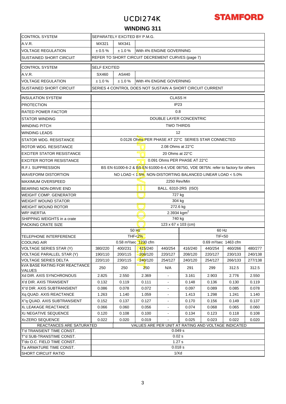# UCDI274K



### **WINDING 311**

| <b>CONTROL SYSTEM</b>                                 | SEPARATELY EXCITED BY P.M.G.                              |         |                                                                                      |                              |                              |                                   |         |         |  |  |  |  |  |
|-------------------------------------------------------|-----------------------------------------------------------|---------|--------------------------------------------------------------------------------------|------------------------------|------------------------------|-----------------------------------|---------|---------|--|--|--|--|--|
| A.V.R.                                                | MX341<br>MX321                                            |         |                                                                                      |                              |                              |                                   |         |         |  |  |  |  |  |
| <b>VOLTAGE REGULATION</b>                             | $\pm 0.5 \%$<br>$± 1.0 \%$<br>With 4% ENGINE GOVERNING    |         |                                                                                      |                              |                              |                                   |         |         |  |  |  |  |  |
| <b>SUSTAINED SHORT CIRCUIT</b>                        | REFER TO SHORT CIRCUIT DECREMENT CURVES (page 7)          |         |                                                                                      |                              |                              |                                   |         |         |  |  |  |  |  |
| <b>CONTROL SYSTEM</b>                                 | <b>SELF EXCITED</b>                                       |         |                                                                                      |                              |                              |                                   |         |         |  |  |  |  |  |
| A.V.R.                                                | SX460<br>AS440                                            |         |                                                                                      |                              |                              |                                   |         |         |  |  |  |  |  |
| <b>VOLTAGE REGULATION</b>                             | ± 1.0%<br>$± 1.0 \%$<br>With 4% ENGINE GOVERNING          |         |                                                                                      |                              |                              |                                   |         |         |  |  |  |  |  |
| <b>SUSTAINED SHORT CIRCUIT</b>                        | SERIES 4 CONTROL DOES NOT SUSTAIN A SHORT CIRCUIT CURRENT |         |                                                                                      |                              |                              |                                   |         |         |  |  |  |  |  |
| IINSULATION SYSTEM                                    | <b>CLASS H</b>                                            |         |                                                                                      |                              |                              |                                   |         |         |  |  |  |  |  |
| <b>PROTECTION</b>                                     | IP <sub>23</sub>                                          |         |                                                                                      |                              |                              |                                   |         |         |  |  |  |  |  |
| <b>RATED POWER FACTOR</b>                             | 0.8                                                       |         |                                                                                      |                              |                              |                                   |         |         |  |  |  |  |  |
| <b>STATOR WINDING</b>                                 |                                                           |         |                                                                                      |                              | DOUBLE LAYER CONCENTRIC      |                                   |         |         |  |  |  |  |  |
| <b>WINDING PITCH</b>                                  |                                                           |         |                                                                                      | <b>TWO THIRDS</b>            |                              |                                   |         |         |  |  |  |  |  |
| <b>WINDING LEADS</b>                                  |                                                           |         |                                                                                      | 12                           |                              |                                   |         |         |  |  |  |  |  |
| <b>STATOR WDG. RESISTANCE</b>                         |                                                           |         | 0.0126 Ohms PER PHASE AT 22°C SERIES STAR CONNECTED                                  |                              |                              |                                   |         |         |  |  |  |  |  |
| <b>ROTOR WDG, RESISTANCE</b>                          |                                                           |         |                                                                                      | 2.08 Ohms at 22°C            |                              |                                   |         |         |  |  |  |  |  |
| <b>EXCITER STATOR RESISTANCE</b>                      |                                                           |         |                                                                                      | 20 Ohms at 22°C              |                              |                                   |         |         |  |  |  |  |  |
| EXCITER ROTOR RESISTANCE                              |                                                           |         |                                                                                      |                              | 0.091 Ohms PER PHASE AT 22°C |                                   |         |         |  |  |  |  |  |
| <b>R.F.I. SUPPRESSION</b>                             |                                                           |         | BS EN 61000-6-2 & BS EN 61000-6-4, VDE 0875G, VDE 0875N. refer to factory for others |                              |                              |                                   |         |         |  |  |  |  |  |
| <b>WAVEFORM DISTORTION</b>                            |                                                           |         | NO LOAD < 1.5%, NON-DISTORTING BALANCED LINEAR LOAD < 5.0%                           |                              |                              |                                   |         |         |  |  |  |  |  |
| IMAXIMUM OVERSPEED                                    |                                                           |         |                                                                                      | 2250 Rev/Min                 |                              |                                   |         |         |  |  |  |  |  |
| BEARING NON-DRIVE END                                 |                                                           |         | ן עו                                                                                 |                              |                              |                                   |         |         |  |  |  |  |  |
| <b>WEIGHT COMP. GENERATOR</b>                         | BALL. 6310-2RS (ISO)<br>727 kg                            |         |                                                                                      |                              |                              |                                   |         |         |  |  |  |  |  |
| <b>WEIGHT WOUND STATOR</b>                            | 304 kg                                                    |         |                                                                                      |                              |                              |                                   |         |         |  |  |  |  |  |
| <b>WEIGHT WOUND ROTOR</b>                             | 272.6 kg                                                  |         |                                                                                      |                              |                              |                                   |         |         |  |  |  |  |  |
| <b>WR<sup>2</sup> INERTIA</b>                         | 2.3934 kgm <sup>2</sup>                                   |         |                                                                                      |                              |                              |                                   |         |         |  |  |  |  |  |
| SHIPPING WEIGHTS in a crate                           | 740 kg                                                    |         |                                                                                      |                              |                              |                                   |         |         |  |  |  |  |  |
| <b>PACKING CRATE SIZE</b>                             |                                                           |         |                                                                                      | 123 x 67 x 103 (cm)          |                              |                                   |         |         |  |  |  |  |  |
|                                                       |                                                           |         | $50$ Hz                                                                              |                              |                              | 60 Hz                             |         |         |  |  |  |  |  |
| <b>TELEPHONE INTERFERENCE</b>                         |                                                           |         | THF< $2\%$                                                                           |                              | <b>TIF&lt;50</b>             |                                   |         |         |  |  |  |  |  |
| <b>COOLING AIR</b>                                    |                                                           |         | 0.58 m <sup>3</sup> /sec 1230 cfm                                                    |                              |                              | 0.69 m <sup>3</sup> /sec 1463 cfm |         |         |  |  |  |  |  |
| <b>VOLTAGE SERIES STAR (Y)</b>                        | 380/220                                                   |         | $\frac{1}{400/231}$   $\frac{1}{15}/240$                                             | 440/254                      | 416/240                      | 440/254                           | 460/266 | 480/277 |  |  |  |  |  |
| <b>VOLTAGE PARALLEL STAR (Y)</b>                      | 190/110                                                   | 200/115 | <b>208/120</b>                                                                       | 220/127                      | 208/120                      | 220/127                           | 230/133 | 240/138 |  |  |  |  |  |
| <b>VOLTAGE SERIES DELTA</b>                           | 220/110                                                   | 230/115 | <b>240/120</b>                                                                       | 254/127                      | 240/120                      | 254/127                           | 266/133 | 277/138 |  |  |  |  |  |
| <b>KVA BASE RATING FOR REACTANCE</b><br><b>VALUES</b> | 250                                                       | 250     | 250                                                                                  | N/A                          | 291                          | 299                               | 312.5   | 312.5   |  |  |  |  |  |
| Xd DIR. AXIS SYNCHRONOUS                              | 2.825                                                     | 2.550   | 2.369                                                                                |                              | 3.161                        | 2.903                             | 2.776   | 2.550   |  |  |  |  |  |
| X'd DIR. AXIS TRANSIENT                               | 0.132                                                     | 0.119   | 0.111                                                                                | $\qquad \qquad \blacksquare$ | 0.148                        | 0.136                             | 0.130   | 0.119   |  |  |  |  |  |
| X"d DIR. AXIS SUBTRANSIENT                            | 0.086                                                     | 0.078   | 0.072                                                                                | $\blacksquare$               | 0.097                        | 0.089                             | 0.085   | 0.078   |  |  |  |  |  |
| Xq QUAD. AXIS REACTANCE                               | 1.263                                                     | 1.140   | 1.059                                                                                |                              | 1.413                        | 1.298                             | 1.241   | 1.140   |  |  |  |  |  |
| X"q QUAD. AXIS SUBTRANSIENT                           | 0.152                                                     | 0.137   | 0.127                                                                                |                              | 0.170                        | 0.156                             | 0.149   | 0.137   |  |  |  |  |  |
| XL LEAKAGE REACTANCE                                  | 0.066                                                     | 0.060   | 0.056                                                                                |                              | 0.074                        | 0.068                             | 0.065   | 0.060   |  |  |  |  |  |
| X <sub>2</sub> NEGATIVE SEQUENCE                      | 0.120                                                     | 0.108   | 0.100                                                                                |                              | 0.134                        | 0.123                             | 0.118   | 0.108   |  |  |  |  |  |
| X <sub>0</sub> ZERO SEQUENCE                          | 0.022                                                     | 0.020   | 0.019                                                                                | $\blacksquare$               | 0.025                        | 0.023                             | 0.022   | 0.020   |  |  |  |  |  |
| REACTANCES ARE SATURATED                              | VALUES ARE PER UNIT AT RATING AND VOLTAGE INDICATED       |         |                                                                                      |                              |                              |                                   |         |         |  |  |  |  |  |
| T'd TRANSIENT TIME CONST.                             |                                                           |         |                                                                                      | 0.049 s                      |                              |                                   |         |         |  |  |  |  |  |
| T"d SUB-TRANSTIME CONST.                              |                                                           |         |                                                                                      | 0.02s                        |                              |                                   |         |         |  |  |  |  |  |
| T'do O.C. FIELD TIME CONST.                           |                                                           |         |                                                                                      | 1.27s                        |                              |                                   |         |         |  |  |  |  |  |
| Ta ARMATURE TIME CONST.<br><b>SHORT CIRCUIT RATIO</b> | 0.018 s                                                   |         |                                                                                      |                              |                              |                                   |         |         |  |  |  |  |  |
|                                                       | 1/Xd                                                      |         |                                                                                      |                              |                              |                                   |         |         |  |  |  |  |  |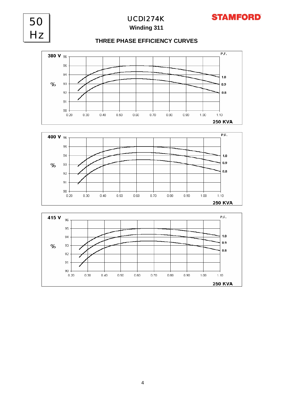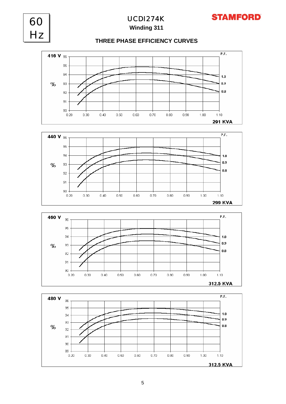

5

 $0.60$ 

 $0.40$ 

 $0.20$ 

 $0.30$ 

 $0.50$ 

 $0.70$ 

 $0.80$ 

 $0.90$ 

 $1.00$ 

 $1.10$ 

312.5 KVA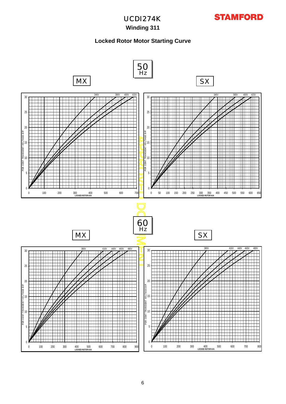## **Winding 311**

### **Locked Rotor Motor Starting Curve**

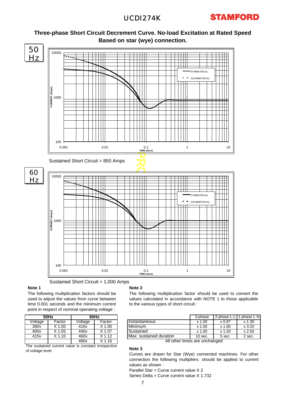# UCDI274K





**Three-phase Short Circuit Decrement Curve. No-load Excitation at Rated Speed**

Sustained Short Circuit = 1,000 Amps

#### **Note 1**

The following multiplication factors should be used to adjust the values from curve between time 0.001 seconds and the minimum current point in respect of nominal operating voltage :

|                                                      | <b>50Hz</b> | 60Hz             |                   |  |  |  |  |  |  |
|------------------------------------------------------|-------------|------------------|-------------------|--|--|--|--|--|--|
| Voltage                                              | Factor      | Voltage          | Factor            |  |  |  |  |  |  |
| 380 <sub>v</sub>                                     | $X$ 1.00    | 416 <sub>v</sub> | $X$ 1.00          |  |  |  |  |  |  |
| 400 <sub>v</sub>                                     | $X$ 1.05    | 440 <sub>v</sub> | X 1.07            |  |  |  |  |  |  |
| 415 <sub>v</sub>                                     | $X$ 1.10    | 460 <sub>v</sub> | $X$ 1.12          |  |  |  |  |  |  |
|                                                      |             | 480 <sub>v</sub> | X <sub>1.16</sub> |  |  |  |  |  |  |
| The quotained qurrent value is constant irrespective |             |                  |                   |  |  |  |  |  |  |

The sustained current value is constant irrespective of voltage level

#### **Note 2**

The following multiplication factor should be used to convert the values calculated in accordance with NOTE 1 to those applicable to the various types of short circuit :

| 60Hz |        |                         | 3-phase   | 2-phase L-L   | 1-phase L-NI |
|------|--------|-------------------------|-----------|---------------|--------------|
| ge   | Factor | Instantaneous           | $x$ 1.00  | $\times 0.87$ | $x$ 1.30     |
| v    | X 1.00 | <b>Minimum</b>          | $x$ 1.00  | x 1.80        | x3.20        |
|      | X 1.07 | Sustained               | $x$ 1.00  | x 1.50        | $x$ 2.50     |
|      | X 1.12 | Max. sustained duration | $10$ sec. | 5 sec.        | 2 sec.       |

All other times are unchanged

#### **Note 3**

Curves are drawn for Star (Wye) connected machines. For other connection the following multipliers should be applied to current values as shown :

Parallel Star = Curve current value X 2 Series Delta = Curve current value X 1.732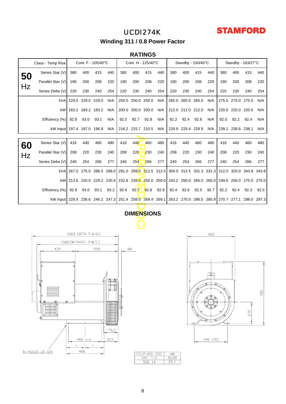# UCDI274K



**Winding 311 / 0.8 Power Factor**

### **RATINGS**

| Cont. F - 105/40°C<br>Class - Temp Rise |                                                                                                          |      |                   | Cont. H - 125/40°C |      |      | Standby - 150/40°C |           |      |      | Standby - 163/27°C |      |      |      |                   |                                                                                                    |      |
|-----------------------------------------|----------------------------------------------------------------------------------------------------------|------|-------------------|--------------------|------|------|--------------------|-----------|------|------|--------------------|------|------|------|-------------------|----------------------------------------------------------------------------------------------------|------|
| 50                                      | Series Star (V)                                                                                          | 380  | 400               | 415                | 440  | 380  | 400                | 415       | 440  | 380  | 400                | 415  | 440  | 380  | 400               | 415                                                                                                | 440  |
|                                         | Parallel Star (V)                                                                                        | 190  | 200               | 208                | 220  | 190  | 200                | 208       | 220  | 190  | 200                | 208  | 220  | 190  | 200               | 208                                                                                                | 220  |
| Hz                                      | Series Delta (V)                                                                                         | 220  | 230               | 240                | 254  | 220  | 230                | 240       | 254  | 220  | 230                | 240  | 254  | 220  | 230               | 240                                                                                                | 254  |
|                                         | kVA                                                                                                      |      | 229.0 229.0 229.0 |                    | N/A  |      | 250.0 250.0 250.0  |           | N/A  |      | 265.0 265.0 265.0  |      | N/A  |      | 275.0 275.0 275.0 |                                                                                                    | N/A  |
|                                         | kW                                                                                                       |      | 183.2 183.2 183.2 |                    | N/A  |      | 200.0 200.0 200.0  |           | N/A  |      | 212.0 212.0 212.0  |      | N/A  |      | 220.0 220.0 220.0 |                                                                                                    | N/A  |
|                                         | Efficiency (%)                                                                                           | 92.8 | 93.0              | 93.1               | N/A  | 92.5 | 92.7               | 92.8      | N/A  | 92.2 | 92.4               | 92.6 | N/A  | 92.0 | 92.2              | 92.4                                                                                               | N/A  |
|                                         | kW Input 197.4 197.0 196.8                                                                               |      |                   |                    | N/A  |      | 216.2 215.7 215.5  |           | N/A  |      | 229.9 229.4 228.9  |      | N/A  |      | 239.1 238.6 238.1 |                                                                                                    | N/A  |
|                                         |                                                                                                          |      |                   |                    |      |      |                    |           |      |      |                    |      |      |      |                   |                                                                                                    |      |
| 60                                      | Series Star (V)                                                                                          | 416  | 440               | 460                | 480  | 416  | 440                | 460       | 480  | 416  | 440                | 460  | 480  | 416  | 440               | 460                                                                                                | 480  |
| Hz                                      | Parallel Star (V)                                                                                        | 208  | 220               | 230                | 240  | 208  | 220                | 230       | 240  | 208  | 220                | 230  | 240  | 208  | 220               | 230                                                                                                | 240  |
|                                         | Series Delta (V)                                                                                         | 240  | 254               | 266                | 277  | 240  | 254                | 266       | 277  | 240  | 254                | 266  | 277  | 240  | 254               | 266                                                                                                | 277  |
|                                         | kVA                                                                                                      |      |                   |                    |      |      |                    |           |      |      |                    |      |      |      |                   | 267.0 275.0 286.5 288.0 291.0 299.0 312.5 312.5 304.0 312.5 331.3 331.3 312.0 320.0 343.8 343.8    |      |
|                                         |                                                                                                          |      |                   |                    |      |      |                    |           |      |      |                    |      |      |      |                   | kW 213.6 220.0 229.2 230.4 232.8 239.2 250.0 250.0 243.2 250.0 265.0 265.0 249.6 256.0 275.0 275.0 |      |
|                                         | Efficiency (%)                                                                                           | 92.9 | 93.0              | 93.1               | 93.2 | 92.6 |                    | 92.7 92.8 | 92.9 | 92.4 | 92.6               | 92.5 | 92.7 | 92.2 | 92.4              | 92.3                                                                                               | 92.5 |
|                                         | kW Input 229.9 236.6 246.2 247.3 251.4 258.0 269.4 269.1 263.2 270.0 286.5 285.9 270.7 277.1 298.0 297.3 |      |                   |                    |      |      |                    |           |      |      |                    |      |      |      |                   |                                                                                                    |      |
|                                         |                                                                                                          |      |                   |                    |      |      |                    |           |      |      |                    |      |      |      |                   |                                                                                                    |      |
| <b>DIMENSIONS</b>                       |                                                                                                          |      |                   |                    |      |      |                    |           |      |      |                    |      |      |      |                   |                                                                                                    |      |
|                                         |                                                                                                          |      |                   |                    |      |      |                    |           |      |      |                    |      |      |      |                   |                                                                                                    |      |
| 1063 (WITH P.M.G.)                      |                                                                                                          |      |                   |                    |      |      |                    |           | 583  |      |                    |      |      |      |                   |                                                                                                    |      |
|                                         | 1000 (WITHOUT P.M.G.)                                                                                    |      |                   |                    |      |      |                    |           |      |      |                    |      |      |      |                   |                                                                                                    |      |
| 434<br>525<br>ΑN                        |                                                                                                          |      |                   |                    |      |      |                    |           |      |      |                    |      |      |      |                   |                                                                                                    |      |
|                                         |                                                                                                          |      |                   |                    |      |      |                    |           |      |      |                    |      |      |      |                   |                                                                                                    |      |
|                                         |                                                                                                          |      |                   |                    |      |      |                    |           |      |      |                    |      |      |      |                   |                                                                                                    |      |
|                                         |                                                                                                          |      |                   |                    |      |      |                    |           |      |      |                    |      |      |      |                   |                                                                                                    |      |







 $\frac{AN}{39,68}$ <br>25,4